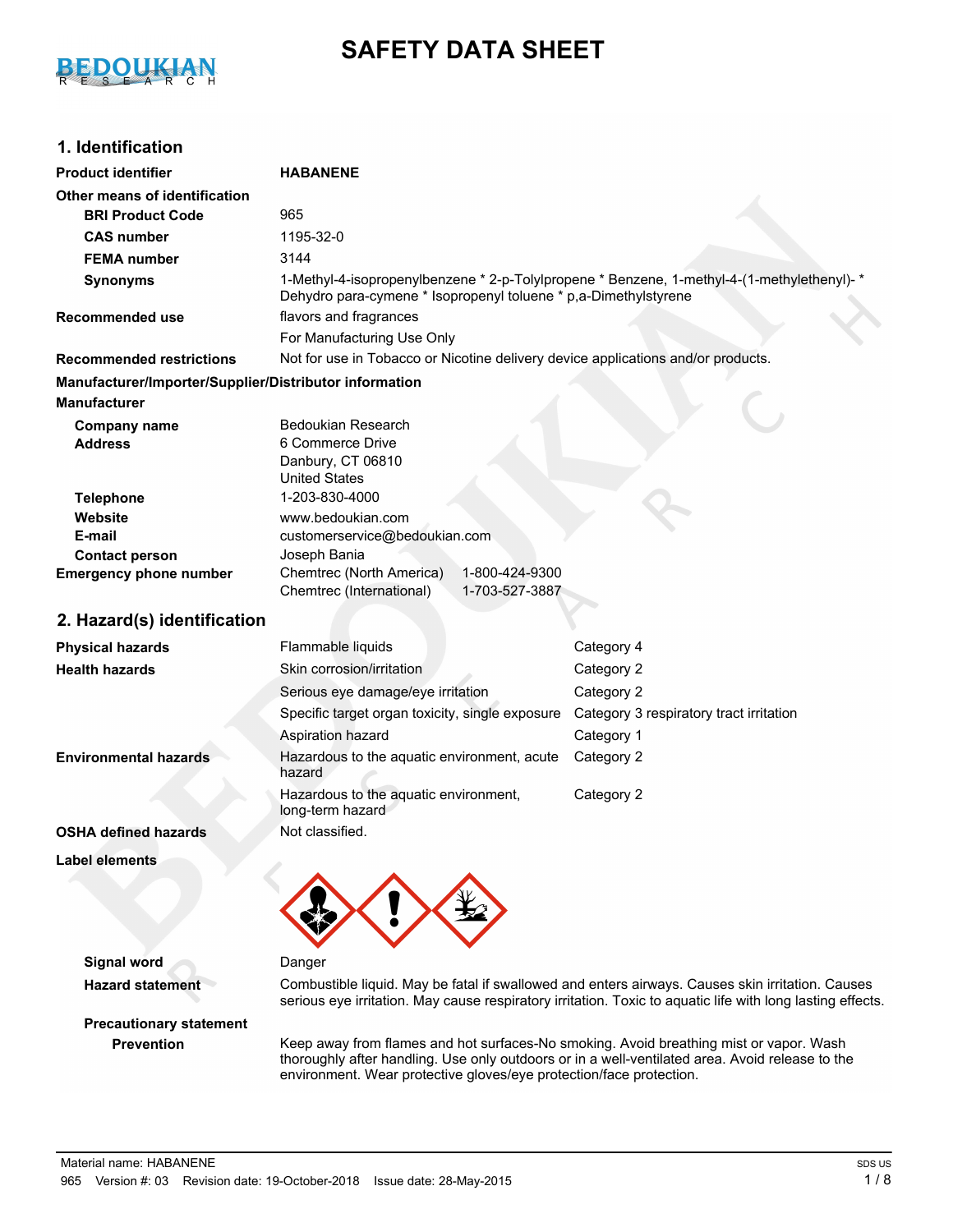

# **SAFETY DATA SHEET**

## **1. Identification**

| <b>Product identifier</b>                              | <b>HABANENE</b>                                                                          |                                                                                                  |  |  |
|--------------------------------------------------------|------------------------------------------------------------------------------------------|--------------------------------------------------------------------------------------------------|--|--|
| Other means of identification                          |                                                                                          |                                                                                                  |  |  |
| <b>BRI Product Code</b>                                | 965                                                                                      |                                                                                                  |  |  |
| <b>CAS number</b>                                      | 1195-32-0                                                                                |                                                                                                  |  |  |
| <b>FEMA</b> number                                     | 3144                                                                                     |                                                                                                  |  |  |
| <b>Synonyms</b>                                        | Dehydro para-cymene * Isopropenyl toluene * p,a-Dimethylstyrene                          | 1-Methyl-4-isopropenylbenzene * 2-p-Tolylpropene * Benzene, 1-methyl-4-(1-methylethenyl)- *      |  |  |
| <b>Recommended use</b>                                 | flavors and fragrances                                                                   |                                                                                                  |  |  |
|                                                        | For Manufacturing Use Only                                                               |                                                                                                  |  |  |
| <b>Recommended restrictions</b>                        | Not for use in Tobacco or Nicotine delivery device applications and/or products.         |                                                                                                  |  |  |
| Manufacturer/Importer/Supplier/Distributor information |                                                                                          |                                                                                                  |  |  |
| <b>Manufacturer</b>                                    |                                                                                          |                                                                                                  |  |  |
| <b>Company name</b><br><b>Address</b>                  | Bedoukian Research<br>6 Commerce Drive<br>Danbury, CT 06810<br><b>United States</b>      |                                                                                                  |  |  |
| <b>Telephone</b>                                       | 1-203-830-4000                                                                           |                                                                                                  |  |  |
| Website                                                | www.bedoukian.com                                                                        |                                                                                                  |  |  |
| E-mail                                                 | customerservice@bedoukian.com                                                            |                                                                                                  |  |  |
| <b>Contact person</b>                                  | Joseph Bania                                                                             |                                                                                                  |  |  |
| <b>Emergency phone number</b>                          | Chemtrec (North America)<br>1-800-424-9300<br>Chemtrec (International)<br>1-703-527-3887 |                                                                                                  |  |  |
| 2. Hazard(s) identification                            |                                                                                          |                                                                                                  |  |  |
| <b>Physical hazards</b>                                | Flammable liquids                                                                        | Category 4                                                                                       |  |  |
| <b>Health hazards</b>                                  | Skin corrosion/irritation                                                                | Category 2                                                                                       |  |  |
|                                                        | Serious eye damage/eye irritation                                                        | Category 2                                                                                       |  |  |
|                                                        | Specific target organ toxicity, single exposure                                          | Category 3 respiratory tract irritation                                                          |  |  |
|                                                        | Aspiration hazard                                                                        | Category 1                                                                                       |  |  |
| <b>Environmental hazards</b>                           | Hazardous to the aquatic environment, acute<br>hazard                                    | Category 2                                                                                       |  |  |
|                                                        | Hazardous to the aquatic environment,<br>long-term hazard                                | Category 2                                                                                       |  |  |
| <b>OSHA defined hazards</b>                            | Not classified.                                                                          |                                                                                                  |  |  |
| <b>Label elements</b>                                  |                                                                                          |                                                                                                  |  |  |
|                                                        |                                                                                          |                                                                                                  |  |  |
| <b>Signal word</b>                                     | Danger                                                                                   |                                                                                                  |  |  |
| <b>Hazard statement</b>                                |                                                                                          | Combustible liquid. May be fatal if swallowed and enters airways. Causes skin irritation. Causes |  |  |

**Precautionary statement**

serious eye irritation. May cause respiratory irritation. Toxic to aquatic life with long lasting effects.

**Prevention** Keep away from flames and hot surfaces-No smoking. Avoid breathing mist or vapor. Wash thoroughly after handling. Use only outdoors or in a well-ventilated area. Avoid release to the environment. Wear protective gloves/eye protection/face protection.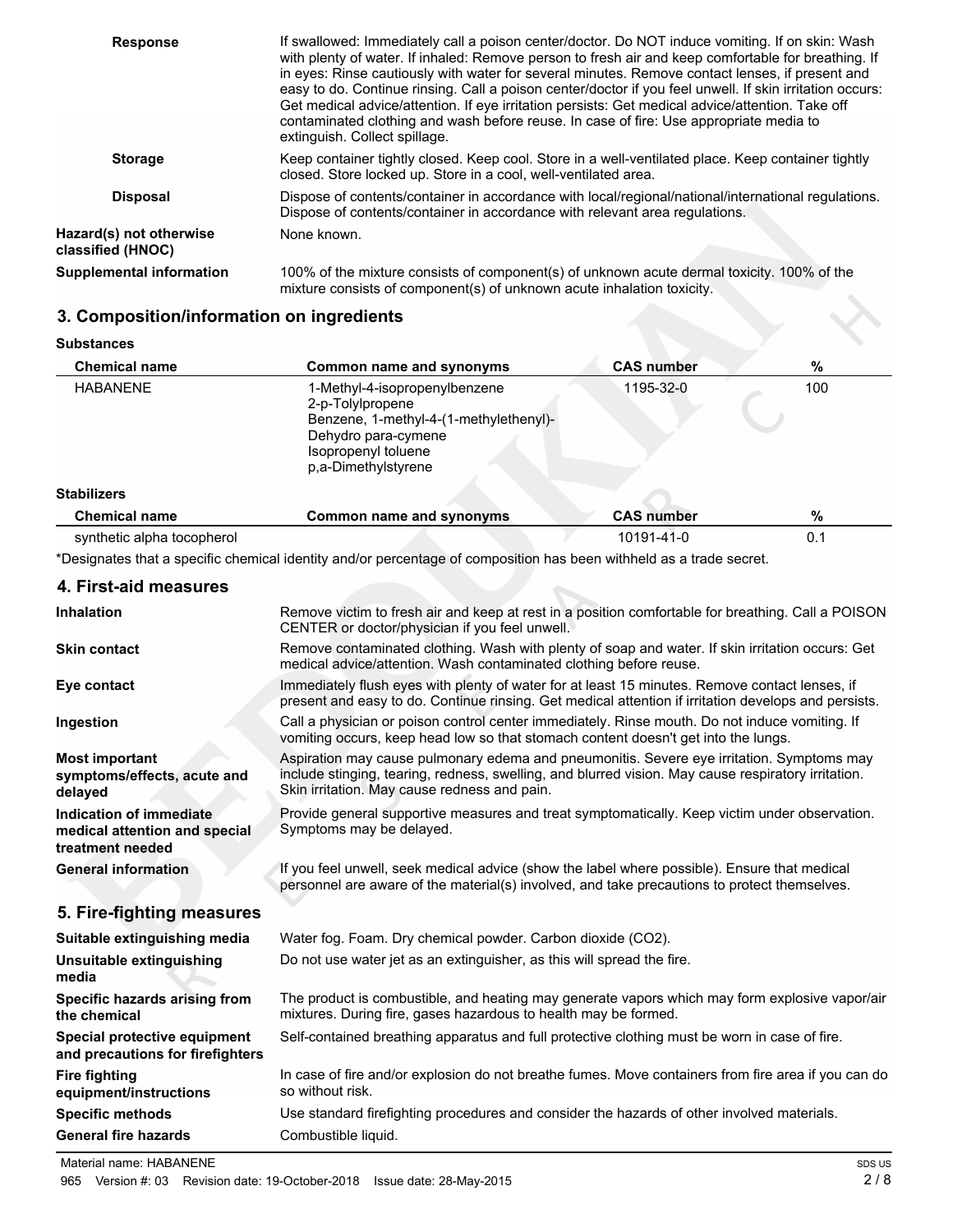| <b>Response</b>                              | If swallowed: Immediately call a poison center/doctor. Do NOT induce vomiting. If on skin: Wash<br>with plenty of water. If inhaled: Remove person to fresh air and keep comfortable for breathing. If<br>in eyes: Rinse cautiously with water for several minutes. Remove contact lenses, if present and<br>easy to do. Continue rinsing. Call a poison center/doctor if you feel unwell. If skin irritation occurs:<br>Get medical advice/attention. If eye irritation persists: Get medical advice/attention. Take off<br>contaminated clothing and wash before reuse. In case of fire: Use appropriate media to<br>extinguish. Collect spillage. |
|----------------------------------------------|------------------------------------------------------------------------------------------------------------------------------------------------------------------------------------------------------------------------------------------------------------------------------------------------------------------------------------------------------------------------------------------------------------------------------------------------------------------------------------------------------------------------------------------------------------------------------------------------------------------------------------------------------|
| <b>Storage</b>                               | Keep container tightly closed. Keep cool. Store in a well-ventilated place. Keep container tightly<br>closed. Store locked up. Store in a cool, well-ventilated area.                                                                                                                                                                                                                                                                                                                                                                                                                                                                                |
| <b>Disposal</b>                              | Dispose of contents/container in accordance with local/regional/national/international regulations.<br>Dispose of contents/container in accordance with relevant area regulations.                                                                                                                                                                                                                                                                                                                                                                                                                                                                   |
| Hazard(s) not otherwise<br>classified (HNOC) | None known.                                                                                                                                                                                                                                                                                                                                                                                                                                                                                                                                                                                                                                          |
| <b>Supplemental information</b>              | 100% of the mixture consists of component(s) of unknown acute dermal toxicity. 100% of the<br>mixture consists of component(s) of unknown acute inhalation toxicity.                                                                                                                                                                                                                                                                                                                                                                                                                                                                                 |

## **3. Composition/information on ingredients**

| <b>Substances</b> |  |
|-------------------|--|
|-------------------|--|

| <b>Chemical name</b>       | Common name and synonyms                                                                                                                                         | <b>CAS number</b> | %   |
|----------------------------|------------------------------------------------------------------------------------------------------------------------------------------------------------------|-------------------|-----|
| <b>HABANENE</b>            | 1-Methyl-4-isopropenylbenzene<br>2-p-Tolylpropene<br>Benzene, 1-methyl-4-(1-methylethenyl)-<br>Dehydro para-cymene<br>Isopropenyl toluene<br>p.a-Dimethylstyrene | 1195-32-0         | 100 |
| <b>Stabilizers</b>         |                                                                                                                                                                  |                   |     |
| <b>Chemical name</b>       | Common name and synonyms                                                                                                                                         | <b>CAS number</b> | %   |
| synthetic alpha tocopherol |                                                                                                                                                                  | 10191-41-0        | 0.1 |

\*Designates that a specific chemical identity and/or percentage of composition has been withheld as a trade secret.

## **4. First-aid measures**

| <b>Inhalation</b>                                                            | Remove victim to fresh air and keep at rest in a position comfortable for breathing. Call a POISON<br>CENTER or doctor/physician if you feel unwell.                                                                                             |  |
|------------------------------------------------------------------------------|--------------------------------------------------------------------------------------------------------------------------------------------------------------------------------------------------------------------------------------------------|--|
| <b>Skin contact</b>                                                          | Remove contaminated clothing. Wash with plenty of soap and water. If skin irritation occurs: Get<br>medical advice/attention. Wash contaminated clothing before reuse.                                                                           |  |
| Eye contact                                                                  | Immediately flush eyes with plenty of water for at least 15 minutes. Remove contact lenses, if<br>present and easy to do. Continue rinsing. Get medical attention if irritation develops and persists.                                           |  |
| Ingestion                                                                    | Call a physician or poison control center immediately. Rinse mouth. Do not induce vomiting. If<br>vomiting occurs, keep head low so that stomach content doesn't get into the lungs.                                                             |  |
| <b>Most important</b><br>symptoms/effects, acute and<br>delayed              | Aspiration may cause pulmonary edema and pneumonitis. Severe eye irritation. Symptoms may<br>include stinging, tearing, redness, swelling, and blurred vision. May cause respiratory irritation.<br>Skin irritation. May cause redness and pain. |  |
| Indication of immediate<br>medical attention and special<br>treatment needed | Provide general supportive measures and treat symptomatically. Keep victim under observation.<br>Symptoms may be delayed.                                                                                                                        |  |
| <b>General information</b>                                                   | If you feel unwell, seek medical advice (show the label where possible). Ensure that medical<br>personnel are aware of the material(s) involved, and take precautions to protect themselves.                                                     |  |
| 5. Fire-fighting measures                                                    |                                                                                                                                                                                                                                                  |  |
| Suitable extinguishing media                                                 | Water fog. Foam. Dry chemical powder. Carbon dioxide (CO2).                                                                                                                                                                                      |  |
| Unsuitable extinguishing<br>media                                            | Do not use water jet as an extinguisher, as this will spread the fire.                                                                                                                                                                           |  |
| Specific hazards arising from<br>the chemical                                | The product is combustible, and heating may generate vapors which may form explosive vapor/air<br>mixtures. During fire, gases hazardous to health may be formed.                                                                                |  |
| Special protective equipment<br>and precautions for firefighters             | Self-contained breathing apparatus and full protective clothing must be worn in case of fire.                                                                                                                                                    |  |
| <b>Fire fighting</b><br>equipment/instructions                               | In case of fire and/or explosion do not breathe fumes. Move containers from fire area if you can do<br>so without risk.                                                                                                                          |  |
| <b>Specific methods</b>                                                      | Use standard firefighting procedures and consider the hazards of other involved materials.                                                                                                                                                       |  |
| <b>General fire hazards</b>                                                  | Combustible liquid.                                                                                                                                                                                                                              |  |
|                                                                              |                                                                                                                                                                                                                                                  |  |

Material name: HABANENE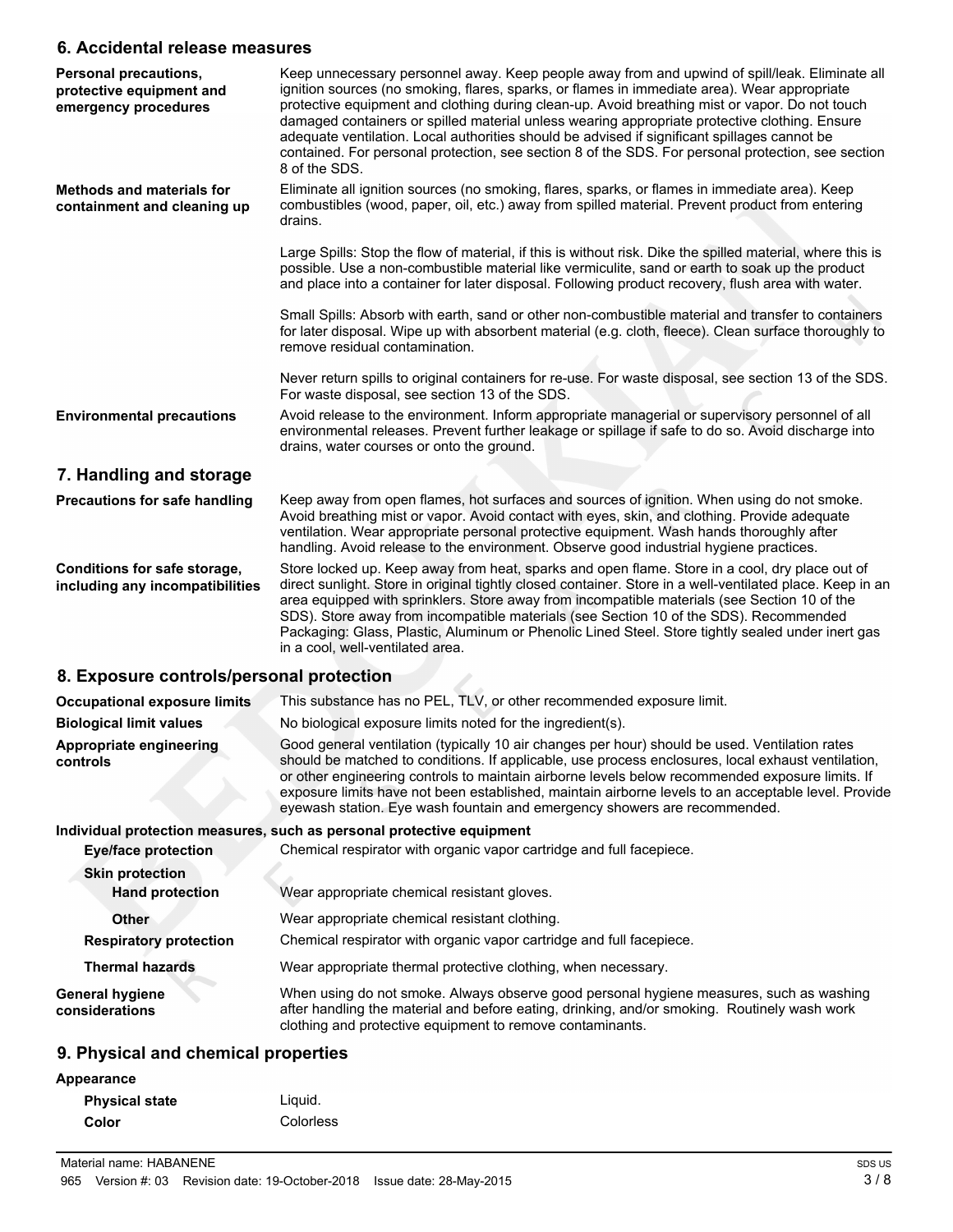#### **6. Accidental release measures**

| Personal precautions,<br>protective equipment and<br>emergency procedures | Keep unnecessary personnel away. Keep people away from and upwind of spill/leak. Eliminate all<br>ignition sources (no smoking, flares, sparks, or flames in immediate area). Wear appropriate<br>protective equipment and clothing during clean-up. Avoid breathing mist or vapor. Do not touch<br>damaged containers or spilled material unless wearing appropriate protective clothing. Ensure<br>adequate ventilation. Local authorities should be advised if significant spillages cannot be<br>contained. For personal protection, see section 8 of the SDS. For personal protection, see section<br>8 of the SDS. |
|---------------------------------------------------------------------------|--------------------------------------------------------------------------------------------------------------------------------------------------------------------------------------------------------------------------------------------------------------------------------------------------------------------------------------------------------------------------------------------------------------------------------------------------------------------------------------------------------------------------------------------------------------------------------------------------------------------------|
| <b>Methods and materials for</b><br>containment and cleaning up           | Eliminate all ignition sources (no smoking, flares, sparks, or flames in immediate area). Keep<br>combustibles (wood, paper, oil, etc.) away from spilled material. Prevent product from entering<br>drains.                                                                                                                                                                                                                                                                                                                                                                                                             |
|                                                                           | Large Spills: Stop the flow of material, if this is without risk. Dike the spilled material, where this is<br>possible. Use a non-combustible material like vermiculite, sand or earth to soak up the product<br>and place into a container for later disposal. Following product recovery, flush area with water.                                                                                                                                                                                                                                                                                                       |
|                                                                           | Small Spills: Absorb with earth, sand or other non-combustible material and transfer to containers<br>for later disposal. Wipe up with absorbent material (e.g. cloth, fleece). Clean surface thoroughly to<br>remove residual contamination.                                                                                                                                                                                                                                                                                                                                                                            |
|                                                                           | Never return spills to original containers for re-use. For waste disposal, see section 13 of the SDS.<br>For waste disposal, see section 13 of the SDS.                                                                                                                                                                                                                                                                                                                                                                                                                                                                  |
| <b>Environmental precautions</b>                                          | Avoid release to the environment. Inform appropriate managerial or supervisory personnel of all<br>environmental releases. Prevent further leakage or spillage if safe to do so. Avoid discharge into<br>drains, water courses or onto the ground.                                                                                                                                                                                                                                                                                                                                                                       |
| 7. Handling and storage                                                   |                                                                                                                                                                                                                                                                                                                                                                                                                                                                                                                                                                                                                          |
| <b>Precautions for safe handling</b>                                      | Keep away from open flames, hot surfaces and sources of ignition. When using do not smoke.<br>Avoid breathing mist or vapor. Avoid contact with eyes, skin, and clothing. Provide adequate<br>ventilation. Wear appropriate personal protective equipment. Wash hands thoroughly after<br>handling. Avoid release to the environment. Observe good industrial hygiene practices.                                                                                                                                                                                                                                         |
| Conditions for safe storage,<br>including any incompatibilities           | Store locked up. Keep away from heat, sparks and open flame. Store in a cool, dry place out of<br>direct sunlight. Store in original tightly closed container. Store in a well-ventilated place. Keep in an<br>area equipped with sprinklers. Store away from incompatible materials (see Section 10 of the<br>SDS). Store away from incompatible materials (see Section 10 of the SDS). Recommended<br>Packaging: Glass, Plastic, Aluminum or Phenolic Lined Steel. Store tightly sealed under inert gas<br>in a cool, well-ventilated area.                                                                            |
| 8. Exposure controls/personal protection                                  |                                                                                                                                                                                                                                                                                                                                                                                                                                                                                                                                                                                                                          |
| <b>Occupational exposure limits</b>                                       | This substance has no PEL, TLV, or other recommended exposure limit.                                                                                                                                                                                                                                                                                                                                                                                                                                                                                                                                                     |
| <b>Biological limit values</b>                                            | No biological exposure limits noted for the ingredient(s).                                                                                                                                                                                                                                                                                                                                                                                                                                                                                                                                                               |
| Appropriate engineering<br>controls                                       | Good general ventilation (typically 10 air changes per hour) should be used. Ventilation rates<br>should be matched to conditions. If applicable, use process enclosures, local exhaust ventilation,<br>or other engineering controls to maintain airborne levels below recommended exposure limits. If<br>exposure limits have not been established, maintain airborne levels to an acceptable level. Provide<br>eyewash station. Eye wash fountain and emergency showers are recommended.                                                                                                                              |
| <b>Eye/face protection</b>                                                | Individual protection measures, such as personal protective equipment<br>Chemical respirator with organic vapor cartridge and full facepiece.                                                                                                                                                                                                                                                                                                                                                                                                                                                                            |
| <b>Skin protection</b><br><b>Hand protection</b>                          | Wear appropriate chemical resistant gloves.                                                                                                                                                                                                                                                                                                                                                                                                                                                                                                                                                                              |
| Other                                                                     | Wear appropriate chemical resistant clothing.                                                                                                                                                                                                                                                                                                                                                                                                                                                                                                                                                                            |
| <b>Respiratory protection</b>                                             | Chemical respirator with organic vapor cartridge and full facepiece.                                                                                                                                                                                                                                                                                                                                                                                                                                                                                                                                                     |
| <b>Thermal hazards</b>                                                    | Wear appropriate thermal protective clothing, when necessary.                                                                                                                                                                                                                                                                                                                                                                                                                                                                                                                                                            |
| <b>General hygiene</b><br>considerations                                  | When using do not smoke. Always observe good personal hygiene measures, such as washing<br>after handling the material and before eating, drinking, and/or smoking. Routinely wash work<br>clothing and protective equipment to remove contaminants.                                                                                                                                                                                                                                                                                                                                                                     |
| 9. Physical and chemical properties                                       |                                                                                                                                                                                                                                                                                                                                                                                                                                                                                                                                                                                                                          |
| Appearance                                                                |                                                                                                                                                                                                                                                                                                                                                                                                                                                                                                                                                                                                                          |

| <b>Physical state</b> | Liguid.   |
|-----------------------|-----------|
| Color                 | Colorless |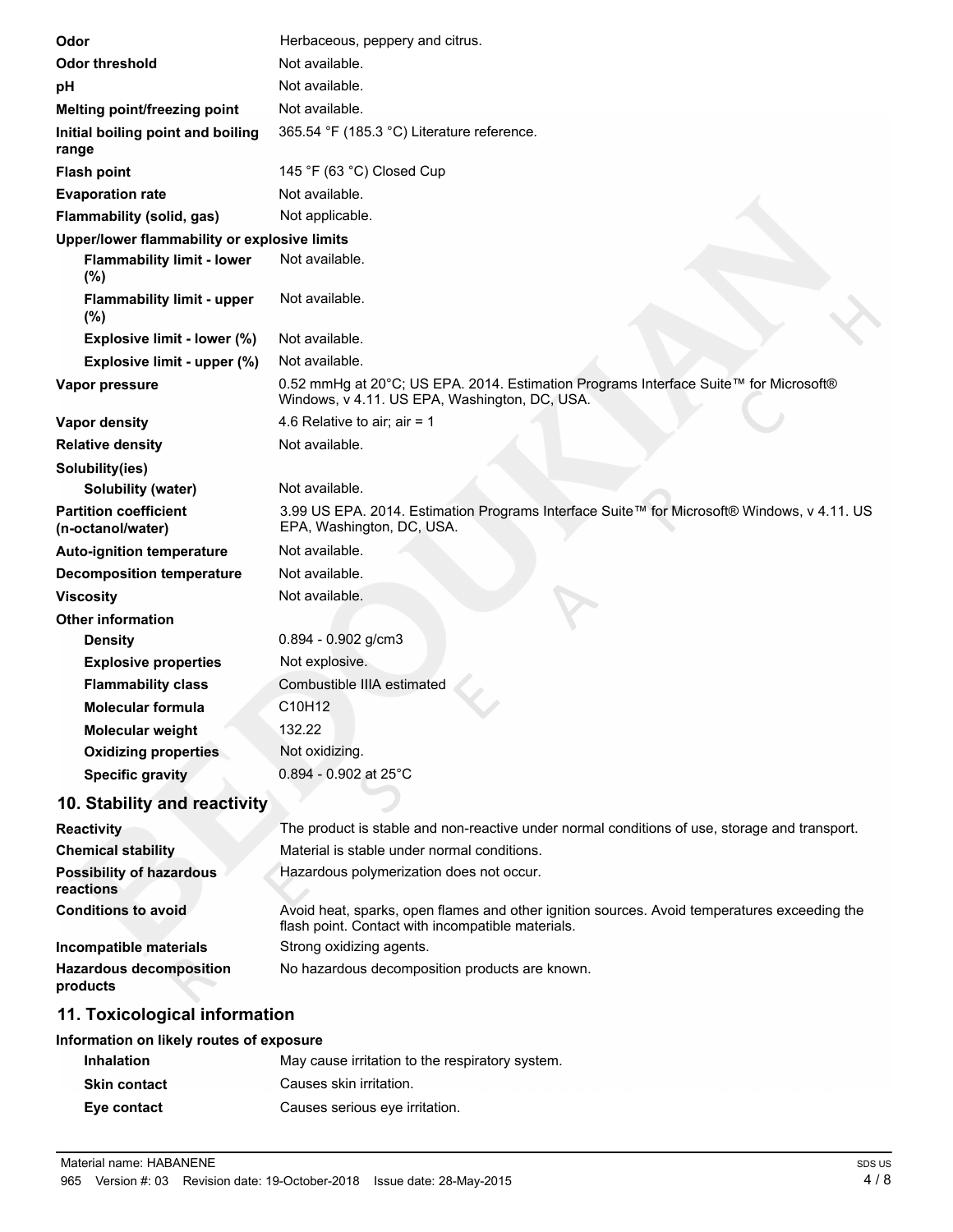| Odor                                              | Herbaceous, peppery and citrus.                                                                                                                   |
|---------------------------------------------------|---------------------------------------------------------------------------------------------------------------------------------------------------|
| <b>Odor threshold</b>                             | Not available.                                                                                                                                    |
| рH                                                | Not available.                                                                                                                                    |
| Melting point/freezing point                      | Not available.                                                                                                                                    |
| Initial boiling point and boiling<br>range        | 365.54 °F (185.3 °C) Literature reference.                                                                                                        |
| <b>Flash point</b>                                | 145 °F (63 °C) Closed Cup                                                                                                                         |
| <b>Evaporation rate</b>                           | Not available.                                                                                                                                    |
| Flammability (solid, gas)                         | Not applicable.                                                                                                                                   |
| Upper/lower flammability or explosive limits      |                                                                                                                                                   |
| <b>Flammability limit - lower</b><br>(%)          | Not available.                                                                                                                                    |
| <b>Flammability limit - upper</b><br>(%)          | Not available.                                                                                                                                    |
| Explosive limit - lower (%)                       | Not available.                                                                                                                                    |
| Explosive limit - upper (%)                       | Not available.                                                                                                                                    |
| Vapor pressure                                    | 0.52 mmHg at 20°C; US EPA. 2014. Estimation Programs Interface Suite™ for Microsoft®<br>Windows, v 4.11. US EPA, Washington, DC, USA.             |
| <b>Vapor density</b>                              | 4.6 Relative to air; air = $1$                                                                                                                    |
| <b>Relative density</b>                           | Not available.                                                                                                                                    |
| Solubility(ies)                                   |                                                                                                                                                   |
| Solubility (water)                                | Not available.                                                                                                                                    |
| <b>Partition coefficient</b><br>(n-octanol/water) | 3.99 US EPA. 2014. Estimation Programs Interface Suite™ for Microsoft® Windows, v 4.11. US<br>EPA, Washington, DC, USA.                           |
| <b>Auto-ignition temperature</b>                  | Not available.                                                                                                                                    |
| <b>Decomposition temperature</b>                  | Not available.                                                                                                                                    |
| <b>Viscosity</b>                                  | Not available.                                                                                                                                    |
| <b>Other information</b>                          |                                                                                                                                                   |
| <b>Density</b>                                    | $0.894 - 0.902$ g/cm3                                                                                                                             |
| <b>Explosive properties</b>                       | Not explosive.                                                                                                                                    |
| <b>Flammability class</b>                         | Combustible IIIA estimated                                                                                                                        |
| <b>Molecular formula</b>                          | C10H12                                                                                                                                            |
| <b>Molecular weight</b>                           | 132.22                                                                                                                                            |
| <b>Oxidizing properties</b>                       | Not oxidizing.                                                                                                                                    |
| <b>Specific gravity</b>                           | $0.894 - 0.902$ at 25°C                                                                                                                           |
| 10. Stability and reactivity                      |                                                                                                                                                   |
| <b>Reactivity</b>                                 | The product is stable and non-reactive under normal conditions of use, storage and transport.                                                     |
| <b>Chemical stability</b>                         | Material is stable under normal conditions.                                                                                                       |
| <b>Possibility of hazardous</b><br>reactions      | Hazardous polymerization does not occur.                                                                                                          |
| <b>Conditions to avoid</b>                        | Avoid heat, sparks, open flames and other ignition sources. Avoid temperatures exceeding the<br>flash point. Contact with incompatible materials. |
| Incompatible materials                            | Strong oxidizing agents.                                                                                                                          |
| <b>Hazardous decomposition</b><br>products        | No hazardous decomposition products are known.                                                                                                    |
| والموموسوكونا المواسوا وجاد                       |                                                                                                                                                   |

# **11. Toxicological information**

| Information on likely routes of exposure |                                                 |  |
|------------------------------------------|-------------------------------------------------|--|
| <b>Inhalation</b>                        | May cause irritation to the respiratory system. |  |
| <b>Skin contact</b>                      | Causes skin irritation.                         |  |
| Eye contact                              | Causes serious eye irritation.                  |  |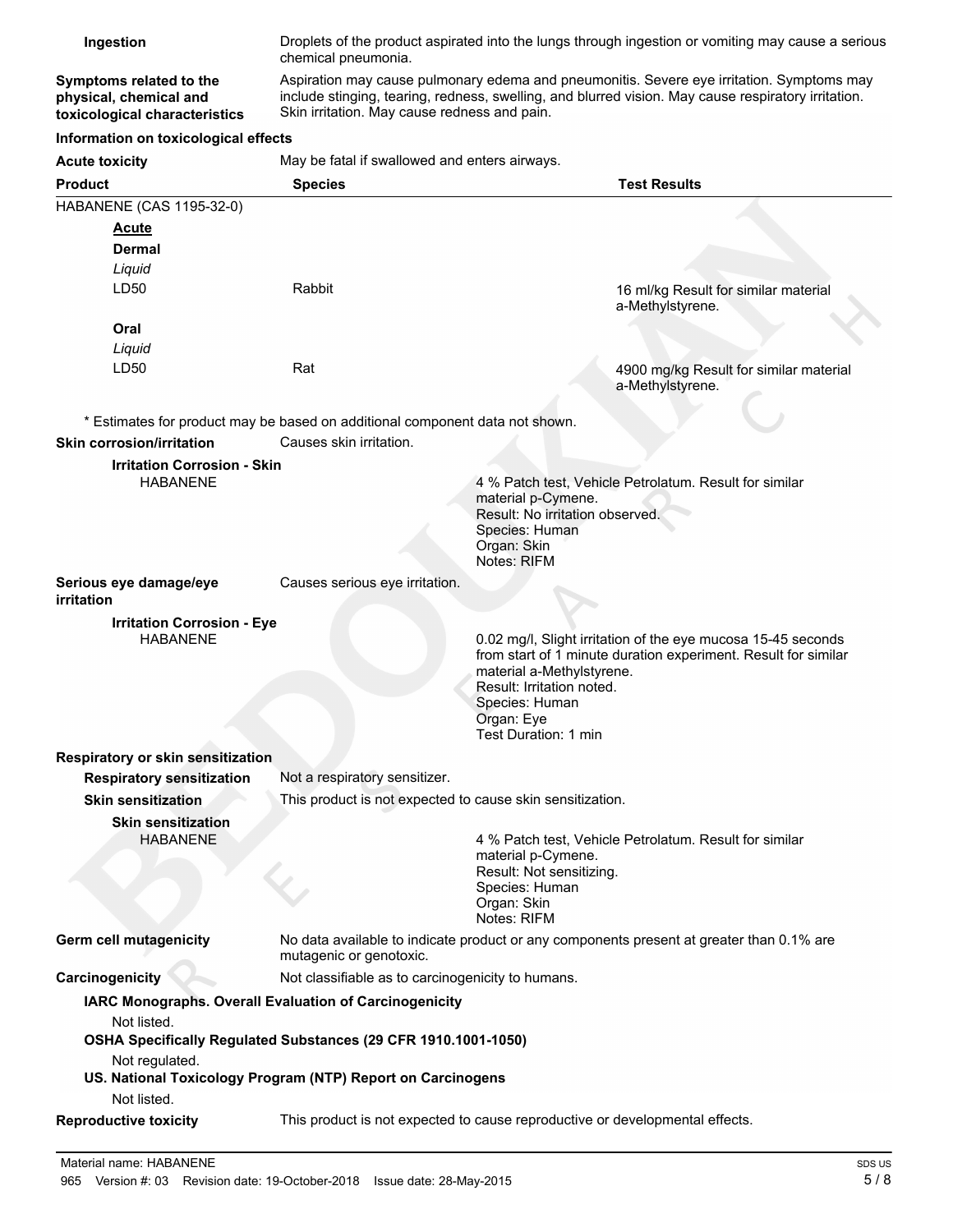| Ingestion                                                                          | Droplets of the product aspirated into the lungs through ingestion or vomiting may cause a serious<br>chemical pneumonia.                                                                                                                        |                                                                                                                |                                                                                                                                |
|------------------------------------------------------------------------------------|--------------------------------------------------------------------------------------------------------------------------------------------------------------------------------------------------------------------------------------------------|----------------------------------------------------------------------------------------------------------------|--------------------------------------------------------------------------------------------------------------------------------|
| Symptoms related to the<br>physical, chemical and<br>toxicological characteristics | Aspiration may cause pulmonary edema and pneumonitis. Severe eye irritation. Symptoms may<br>include stinging, tearing, redness, swelling, and blurred vision. May cause respiratory irritation.<br>Skin irritation. May cause redness and pain. |                                                                                                                |                                                                                                                                |
| Information on toxicological effects                                               |                                                                                                                                                                                                                                                  |                                                                                                                |                                                                                                                                |
| <b>Acute toxicity</b>                                                              | May be fatal if swallowed and enters airways.                                                                                                                                                                                                    |                                                                                                                |                                                                                                                                |
| <b>Product</b>                                                                     | <b>Species</b>                                                                                                                                                                                                                                   |                                                                                                                | <b>Test Results</b>                                                                                                            |
| HABANENE (CAS 1195-32-0)                                                           |                                                                                                                                                                                                                                                  |                                                                                                                |                                                                                                                                |
| <u>Acute</u>                                                                       |                                                                                                                                                                                                                                                  |                                                                                                                |                                                                                                                                |
| Dermal                                                                             |                                                                                                                                                                                                                                                  |                                                                                                                |                                                                                                                                |
| Liquid                                                                             |                                                                                                                                                                                                                                                  |                                                                                                                |                                                                                                                                |
| LD50                                                                               | Rabbit                                                                                                                                                                                                                                           |                                                                                                                | 16 ml/kg Result for similar material<br>a-Methylstyrene.                                                                       |
| Oral                                                                               |                                                                                                                                                                                                                                                  |                                                                                                                |                                                                                                                                |
| Liquid                                                                             |                                                                                                                                                                                                                                                  |                                                                                                                |                                                                                                                                |
| LD50                                                                               | Rat                                                                                                                                                                                                                                              |                                                                                                                | 4900 mg/kg Result for similar material<br>a-Methylstyrene.                                                                     |
|                                                                                    | * Estimates for product may be based on additional component data not shown.                                                                                                                                                                     |                                                                                                                |                                                                                                                                |
| Skin corrosion/irritation                                                          | Causes skin irritation.                                                                                                                                                                                                                          |                                                                                                                |                                                                                                                                |
| <b>Irritation Corrosion - Skin</b><br><b>HABANENE</b>                              |                                                                                                                                                                                                                                                  | material p-Cymene.<br>Result: No irritation observed.<br>Species: Human<br>Organ: Skin<br>Notes: RIFM          | 4 % Patch test, Vehicle Petrolatum. Result for similar                                                                         |
| Serious eye damage/eye<br>irritation                                               | Causes serious eye irritation.                                                                                                                                                                                                                   |                                                                                                                |                                                                                                                                |
| <b>Irritation Corrosion - Eye</b>                                                  |                                                                                                                                                                                                                                                  |                                                                                                                |                                                                                                                                |
| <b>HABANENE</b>                                                                    |                                                                                                                                                                                                                                                  | material a-Methylstyrene.<br>Result: Irritation noted.<br>Species: Human<br>Organ: Eye<br>Test Duration: 1 min | 0.02 mg/l, Slight irritation of the eye mucosa 15-45 seconds<br>from start of 1 minute duration experiment. Result for similar |
| Respiratory or skin sensitization                                                  |                                                                                                                                                                                                                                                  |                                                                                                                |                                                                                                                                |
| <b>Respiratory sensitization</b>                                                   | Not a respiratory sensitizer.                                                                                                                                                                                                                    |                                                                                                                |                                                                                                                                |
| <b>Skin sensitization</b>                                                          | This product is not expected to cause skin sensitization.                                                                                                                                                                                        |                                                                                                                |                                                                                                                                |
| <b>Skin sensitization</b><br><b>HABANENE</b>                                       |                                                                                                                                                                                                                                                  | material p-Cymene.<br>Result: Not sensitizing.<br>Species: Human<br>Organ: Skin<br>Notes: RIFM                 | 4 % Patch test, Vehicle Petrolatum. Result for similar                                                                         |
| <b>Germ cell mutagenicity</b>                                                      | No data available to indicate product or any components present at greater than 0.1% are<br>mutagenic or genotoxic.                                                                                                                              |                                                                                                                |                                                                                                                                |
| Carcinogenicity                                                                    | Not classifiable as to carcinogenicity to humans.                                                                                                                                                                                                |                                                                                                                |                                                                                                                                |
| Not listed.                                                                        | IARC Monographs. Overall Evaluation of Carcinogenicity<br>OSHA Specifically Regulated Substances (29 CFR 1910.1001-1050)                                                                                                                         |                                                                                                                |                                                                                                                                |
| Not regulated.<br>Not listed.                                                      | US. National Toxicology Program (NTP) Report on Carcinogens                                                                                                                                                                                      |                                                                                                                |                                                                                                                                |
| <b>Reproductive toxicity</b>                                                       | This product is not expected to cause reproductive or developmental effects.                                                                                                                                                                     |                                                                                                                |                                                                                                                                |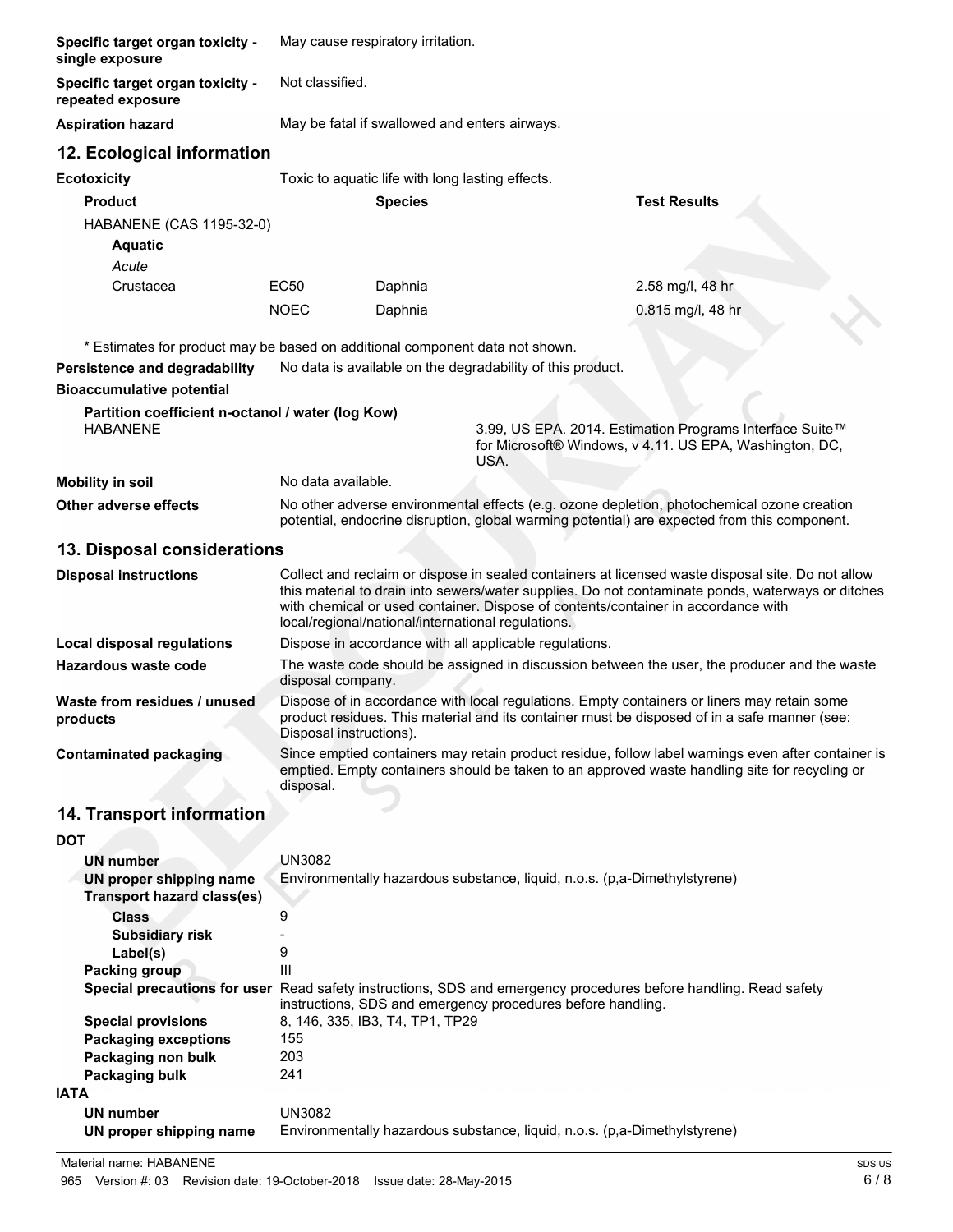| Specific target organ toxicity -<br>single exposure                          | May cause respiratory irritation.                                                                                                                                                                                                            |                                                  |                                                                            |                                                                                                                                                                                            |
|------------------------------------------------------------------------------|----------------------------------------------------------------------------------------------------------------------------------------------------------------------------------------------------------------------------------------------|--------------------------------------------------|----------------------------------------------------------------------------|--------------------------------------------------------------------------------------------------------------------------------------------------------------------------------------------|
| Specific target organ toxicity -<br>repeated exposure                        | Not classified.                                                                                                                                                                                                                              |                                                  |                                                                            |                                                                                                                                                                                            |
| <b>Aspiration hazard</b>                                                     | May be fatal if swallowed and enters airways.                                                                                                                                                                                                |                                                  |                                                                            |                                                                                                                                                                                            |
| 12. Ecological information                                                   |                                                                                                                                                                                                                                              |                                                  |                                                                            |                                                                                                                                                                                            |
| <b>Ecotoxicity</b>                                                           |                                                                                                                                                                                                                                              | Toxic to aquatic life with long lasting effects. |                                                                            |                                                                                                                                                                                            |
| <b>Product</b>                                                               |                                                                                                                                                                                                                                              | <b>Species</b>                                   |                                                                            | <b>Test Results</b>                                                                                                                                                                        |
| HABANENE (CAS 1195-32-0)                                                     |                                                                                                                                                                                                                                              |                                                  |                                                                            |                                                                                                                                                                                            |
| <b>Aquatic</b>                                                               |                                                                                                                                                                                                                                              |                                                  |                                                                            |                                                                                                                                                                                            |
| Acute                                                                        |                                                                                                                                                                                                                                              |                                                  |                                                                            |                                                                                                                                                                                            |
| Crustacea                                                                    | EC50                                                                                                                                                                                                                                         | Daphnia                                          |                                                                            | 2.58 mg/l, 48 hr                                                                                                                                                                           |
|                                                                              | <b>NOEC</b>                                                                                                                                                                                                                                  | Daphnia                                          |                                                                            | 0.815 mg/l, 48 hr                                                                                                                                                                          |
|                                                                              |                                                                                                                                                                                                                                              |                                                  |                                                                            |                                                                                                                                                                                            |
| * Estimates for product may be based on additional component data not shown. |                                                                                                                                                                                                                                              |                                                  |                                                                            |                                                                                                                                                                                            |
| Persistence and degradability                                                |                                                                                                                                                                                                                                              |                                                  | No data is available on the degradability of this product.                 |                                                                                                                                                                                            |
| <b>Bioaccumulative potential</b>                                             |                                                                                                                                                                                                                                              |                                                  |                                                                            |                                                                                                                                                                                            |
| Partition coefficient n-octanol / water (log Kow)<br><b>HABANENE</b>         |                                                                                                                                                                                                                                              |                                                  | USA.                                                                       | 3.99, US EPA. 2014. Estimation Programs Interface Suite™<br>for Microsoft® Windows, v 4.11. US EPA, Washington, DC,                                                                        |
| <b>Mobility in soil</b>                                                      | No data available.                                                                                                                                                                                                                           |                                                  |                                                                            |                                                                                                                                                                                            |
| <b>Other adverse effects</b>                                                 |                                                                                                                                                                                                                                              |                                                  |                                                                            | No other adverse environmental effects (e.g. ozone depletion, photochemical ozone creation<br>potential, endocrine disruption, global warming potential) are expected from this component. |
| 13. Disposal considerations                                                  |                                                                                                                                                                                                                                              |                                                  |                                                                            |                                                                                                                                                                                            |
| <b>Disposal instructions</b>                                                 |                                                                                                                                                                                                                                              |                                                  |                                                                            | Collect and reclaim or dispose in sealed containers at licensed waste disposal site. Do not allow                                                                                          |
|                                                                              | this material to drain into sewers/water supplies. Do not contaminate ponds, waterways or ditches<br>with chemical or used container. Dispose of contents/container in accordance with<br>local/regional/national/international regulations. |                                                  |                                                                            |                                                                                                                                                                                            |
| Local disposal regulations                                                   | Dispose in accordance with all applicable regulations.                                                                                                                                                                                       |                                                  |                                                                            |                                                                                                                                                                                            |
| Hazardous waste code                                                         | The waste code should be assigned in discussion between the user, the producer and the waste<br>disposal company.                                                                                                                            |                                                  |                                                                            |                                                                                                                                                                                            |
| Waste from residues / unused<br>products                                     | Dispose of in accordance with local regulations. Empty containers or liners may retain some<br>product residues. This material and its container must be disposed of in a safe manner (see:<br>Disposal instructions).                       |                                                  |                                                                            |                                                                                                                                                                                            |
| <b>Contaminated packaging</b>                                                | Since emptied containers may retain product residue, follow label warnings even after container is                                                                                                                                           |                                                  |                                                                            |                                                                                                                                                                                            |
|                                                                              | disposal.                                                                                                                                                                                                                                    |                                                  |                                                                            | emptied. Empty containers should be taken to an approved waste handling site for recycling or                                                                                              |
|                                                                              |                                                                                                                                                                                                                                              |                                                  |                                                                            |                                                                                                                                                                                            |
| 14. Transport information                                                    |                                                                                                                                                                                                                                              |                                                  |                                                                            |                                                                                                                                                                                            |
| <b>DOT</b>                                                                   |                                                                                                                                                                                                                                              |                                                  |                                                                            |                                                                                                                                                                                            |
| <b>UN number</b>                                                             | <b>UN3082</b>                                                                                                                                                                                                                                |                                                  |                                                                            |                                                                                                                                                                                            |
| UN proper shipping name                                                      |                                                                                                                                                                                                                                              |                                                  | Environmentally hazardous substance, liquid, n.o.s. (p, a-Dimethylstyrene) |                                                                                                                                                                                            |
| <b>Transport hazard class(es)</b>                                            |                                                                                                                                                                                                                                              |                                                  |                                                                            |                                                                                                                                                                                            |
| <b>Class</b><br><b>Subsidiary risk</b>                                       | 9                                                                                                                                                                                                                                            |                                                  |                                                                            |                                                                                                                                                                                            |
| Label(s)                                                                     | 9                                                                                                                                                                                                                                            |                                                  |                                                                            |                                                                                                                                                                                            |
| <b>Packing group</b>                                                         | Ш                                                                                                                                                                                                                                            |                                                  |                                                                            |                                                                                                                                                                                            |
|                                                                              |                                                                                                                                                                                                                                              |                                                  | instructions, SDS and emergency procedures before handling.                | Special precautions for user Read safety instructions, SDS and emergency procedures before handling. Read safety                                                                           |
| <b>Special provisions</b>                                                    |                                                                                                                                                                                                                                              | 8, 146, 335, IB3, T4, TP1, TP29                  |                                                                            |                                                                                                                                                                                            |
| <b>Packaging exceptions</b>                                                  | 155                                                                                                                                                                                                                                          |                                                  |                                                                            |                                                                                                                                                                                            |
| Packaging non bulk                                                           | 203                                                                                                                                                                                                                                          |                                                  |                                                                            |                                                                                                                                                                                            |
| Packaging bulk                                                               | 241                                                                                                                                                                                                                                          |                                                  |                                                                            |                                                                                                                                                                                            |
| <b>IATA</b>                                                                  |                                                                                                                                                                                                                                              |                                                  |                                                                            |                                                                                                                                                                                            |
| <b>UN number</b><br>UN proper shipping name                                  | <b>UN3082</b>                                                                                                                                                                                                                                |                                                  | Environmentally hazardous substance, liquid, n.o.s. (p,a-Dimethylstyrene)  |                                                                                                                                                                                            |
|                                                                              |                                                                                                                                                                                                                                              |                                                  |                                                                            |                                                                                                                                                                                            |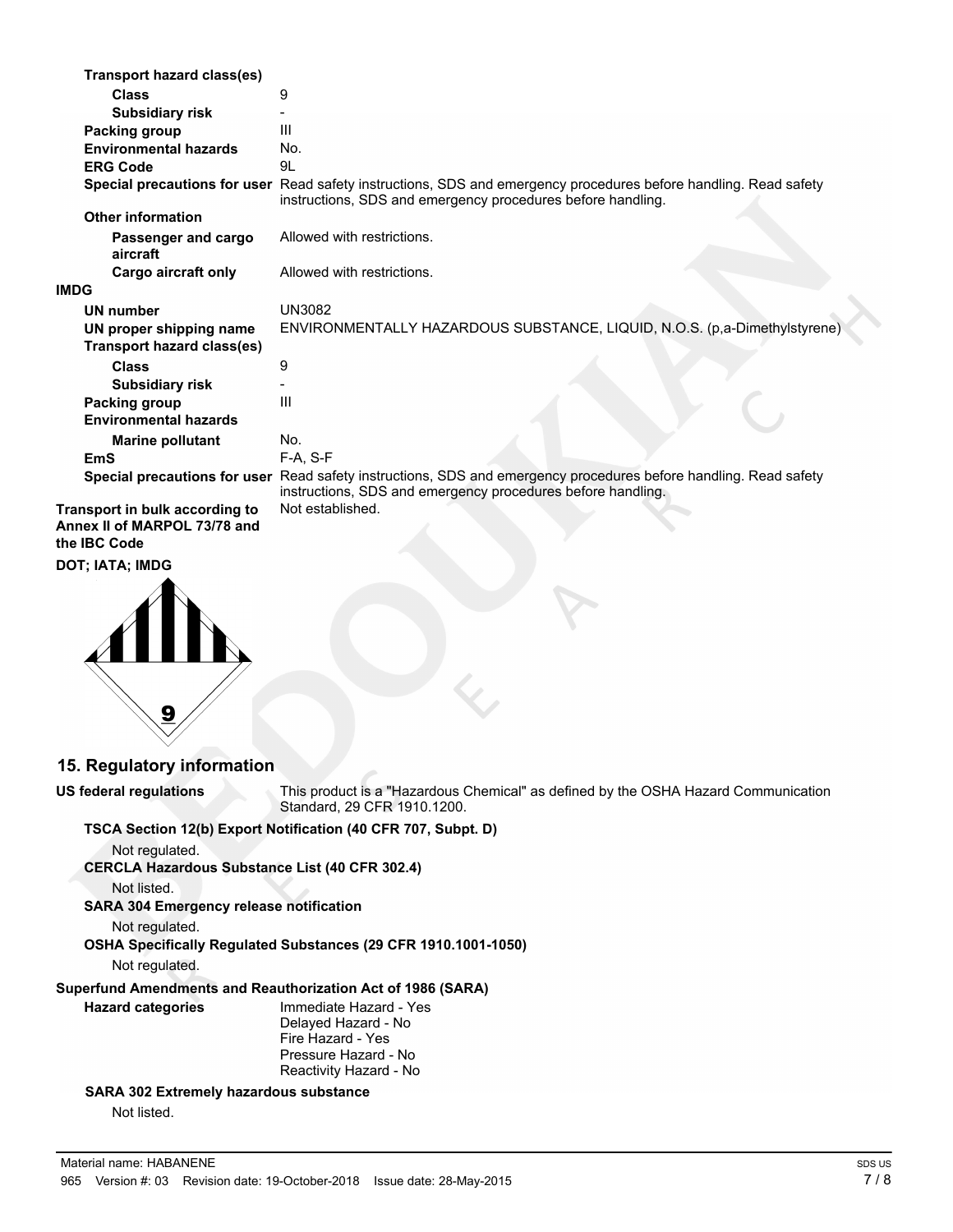| <b>Transport hazard class(es)</b> |                                                                                                                                                                                 |
|-----------------------------------|---------------------------------------------------------------------------------------------------------------------------------------------------------------------------------|
| <b>Class</b>                      | 9                                                                                                                                                                               |
| <b>Subsidiary risk</b>            |                                                                                                                                                                                 |
| Packing group                     | Ш                                                                                                                                                                               |
| <b>Environmental hazards</b>      | No.                                                                                                                                                                             |
| <b>ERG Code</b>                   | 9L                                                                                                                                                                              |
|                                   | Special precautions for user Read safety instructions, SDS and emergency procedures before handling. Read safety<br>instructions, SDS and emergency procedures before handling. |
| <b>Other information</b>          |                                                                                                                                                                                 |
| Passenger and cargo<br>aircraft   | Allowed with restrictions.                                                                                                                                                      |
| Cargo aircraft only               | Allowed with restrictions.                                                                                                                                                      |
| <b>IMDG</b>                       |                                                                                                                                                                                 |
| UN number                         | <b>UN3082</b>                                                                                                                                                                   |
| UN proper shipping name           | ENVIRONMENTALLY HAZARDOUS SUBSTANCE, LIQUID, N.O.S. (p,a-Dimethylstyrene)                                                                                                       |
| Transport hazard class(es)        |                                                                                                                                                                                 |
| <b>Class</b>                      | 9                                                                                                                                                                               |
| <b>Subsidiary risk</b>            |                                                                                                                                                                                 |
| Packing group                     | III                                                                                                                                                                             |
| <b>Environmental hazards</b>      |                                                                                                                                                                                 |
| <b>Marine pollutant</b>           | No.                                                                                                                                                                             |
| <b>EmS</b>                        | $F-A, S-F$                                                                                                                                                                      |
|                                   | Special precautions for user Read safety instructions, SDS and emergency procedures before handling. Read safety<br>instructions, SDS and emergency procedures before handling. |
| Transport in bulk according to    | Not established.                                                                                                                                                                |

**Annex II of MARPOL 73/78 and the IBC Code**

**DOT; IATA; IMDG**



**15. Regulatory information**

**US federal regulations**

This product is a "Hazardous Chemical" as defined by the OSHA Hazard Communication

Standard, 29 CFR 1910.1200. **TSCA Section 12(b) Export Notification (40 CFR 707, Subpt. D)** Not regulated. **CERCLA Hazardous Substance List (40 CFR 302.4)** Not listed. **SARA 304 Emergency release notification** Not regulated. **OSHA Specifically Regulated Substances (29 CFR 1910.1001-1050)** Not regulated. **Superfund Amendments and Reauthorization Act of 1986 (SARA)** Immediate Hazard - Yes Delayed Hazard - No Fire Hazard - Yes Pressure Hazard - No Reactivity Hazard - No **Hazard categories SARA 302 Extremely hazardous substance** Not listed.